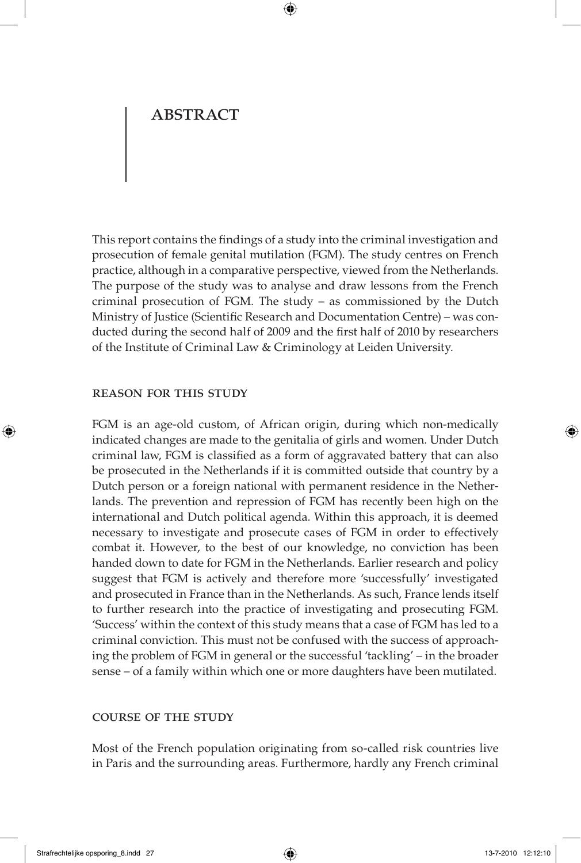This report contains the findings of a study into the criminal investigation and prosecution of female genital mutilation (FGM). The study centres on French practice, although in a comparative perspective, viewed from the Netherlands. The purpose of the study was to analyse and draw lessons from the French criminal prosecution of FGM. The study  $-$  as commissioned by the Dutch Ministry of Justice (Scientific Research and Documentation Centre) – was conducted during the second half of 2009 and the first half of 2010 by researchers of the Institute of Criminal Law & Criminology at Leiden University.

#### Reason for this study

FGM is an age-old custom, of African origin, during which non-medically indicated changes are made to the genitalia of girls and women. Under Dutch criminal law, FGM is classified as a form of aggravated battery that can also be prosecuted in the Netherlands if it is committed outside that country by a Dutch person or a foreign national with permanent residence in the Netherlands. The prevention and repression of FGM has recently been high on the international and Dutch political agenda. Within this approach, it is deemed necessary to investigate and prosecute cases of FGM in order to effectively combat it. However, to the best of our knowledge, no conviction has been handed down to date for FGM in the Netherlands. Earlier research and policy suggest that FGM is actively and therefore more 'successfully' investigated and prosecuted in France than in the Netherlands. As such, France lends itself to further research into the practice of investigating and prosecuting FGM. 'Success' within the context of this study means that a case of FGM has led to a criminal conviction. This must not be confused with the success of approaching the problem of FGM in general or the successful 'tackling' – in the broader sense – of a family within which one or more daughters have been mutilated.

#### Course of the study

Most of the French population originating from so-called risk countries live in Paris and the surrounding areas. Furthermore, hardly any French criminal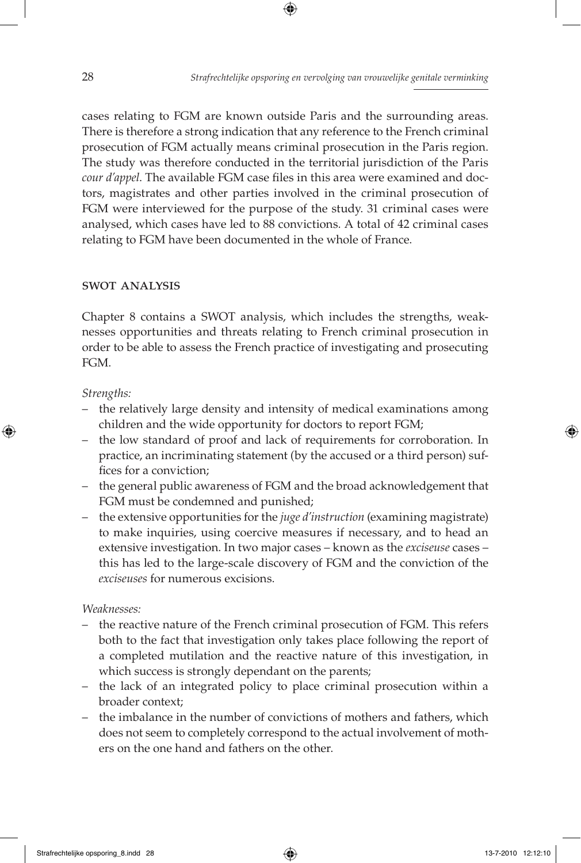cases relating to FGM are known outside Paris and the surrounding areas. There is therefore a strong indication that any reference to the French criminal prosecution of FGM actually means criminal prosecution in the Paris region. The study was therefore conducted in the territorial jurisdiction of the Paris *cour d'appel*. The available FGM case files in this area were examined and doctors, magistrates and other parties involved in the criminal prosecution of FGM were interviewed for the purpose of the study. 31 criminal cases were analysed, which cases have led to 88 convictions. A total of 42 criminal cases relating to FGM have been documented in the whole of France.

#### swot analysis

Chapter 8 contains a SWOT analysis, which includes the strengths, weaknesses opportunities and threats relating to French criminal prosecution in order to be able to assess the French practice of investigating and prosecuting FGM.

#### *Strengths:*

- the relatively large density and intensity of medical examinations among children and the wide opportunity for doctors to report FGM;
- the low standard of proof and lack of requirements for corroboration. In practice, an incriminating statement (by the accused or a third person) suffices for a conviction;
- the general public awareness of FGM and the broad acknowledgement that FGM must be condemned and punished;
- the extensive opportunities for the *juge d'instruction* (examining magistrate) to make inquiries, using coercive measures if necessary, and to head an extensive investigation. In two major cases – known as the *exciseuse* cases – this has led to the large-scale discovery of FGM and the conviction of the *exciseuses* for numerous excisions.

*Weaknesses:*

- the reactive nature of the French criminal prosecution of FGM. This refers both to the fact that investigation only takes place following the report of a completed mutilation and the reactive nature of this investigation, in which success is strongly dependant on the parents;
- the lack of an integrated policy to place criminal prosecution within a broader context;
- the imbalance in the number of convictions of mothers and fathers, which does not seem to completely correspond to the actual involvement of mothers on the one hand and fathers on the other.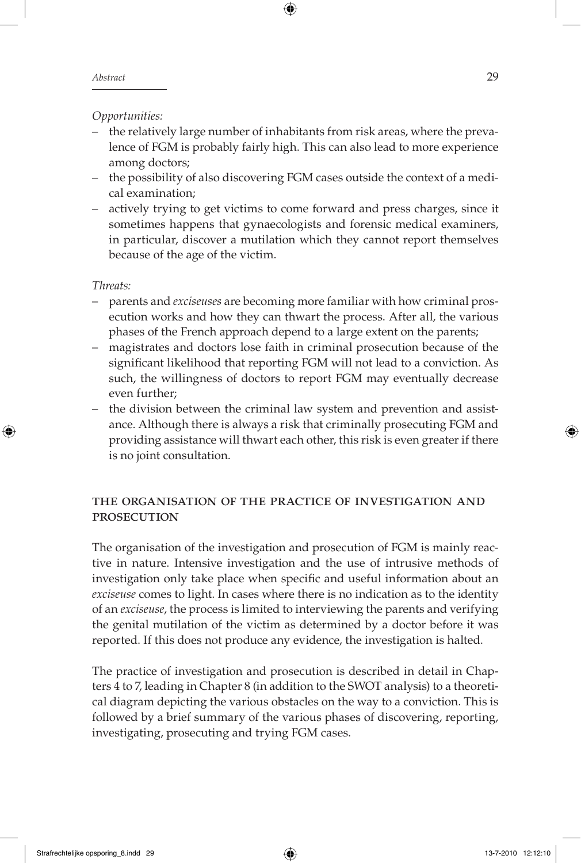#### *Opportunities:*

- the relatively large number of inhabitants from risk areas, where the prevalence of FGM is probably fairly high. This can also lead to more experience among doctors;
- the possibility of also discovering FGM cases outside the context of a medical examination;
- actively trying to get victims to come forward and press charges, since it sometimes happens that gynaecologists and forensic medical examiners, in particular, discover a mutilation which they cannot report themselves because of the age of the victim.

#### *Threats:*

- parents and *exciseuses* are becoming more familiar with how criminal prosecution works and how they can thwart the process. After all, the various phases of the French approach depend to a large extent on the parents;
- magistrates and doctors lose faith in criminal prosecution because of the significant likelihood that reporting FGM will not lead to a conviction. As such, the willingness of doctors to report FGM may eventually decrease even further;
- the division between the criminal law system and prevention and assistance. Although there is always a risk that criminally prosecuting FGM and providing assistance will thwart each other, this risk is even greater if there is no joint consultation.

### The organisation of the practice of investigation and **PROSECUTION**

The organisation of the investigation and prosecution of FGM is mainly reactive in nature. Intensive investigation and the use of intrusive methods of investigation only take place when specific and useful information about an *exciseuse* comes to light. In cases where there is no indication as to the identity of an *exciseuse*, the process is limited to interviewing the parents and verifying the genital mutilation of the victim as determined by a doctor before it was reported. If this does not produce any evidence, the investigation is halted.

The practice of investigation and prosecution is described in detail in Chapters 4 to 7, leading in Chapter 8 (in addition to the SWOT analysis) to a theoretical diagram depicting the various obstacles on the way to a conviction. This is followed by a brief summary of the various phases of discovering, reporting, investigating, prosecuting and trying FGM cases.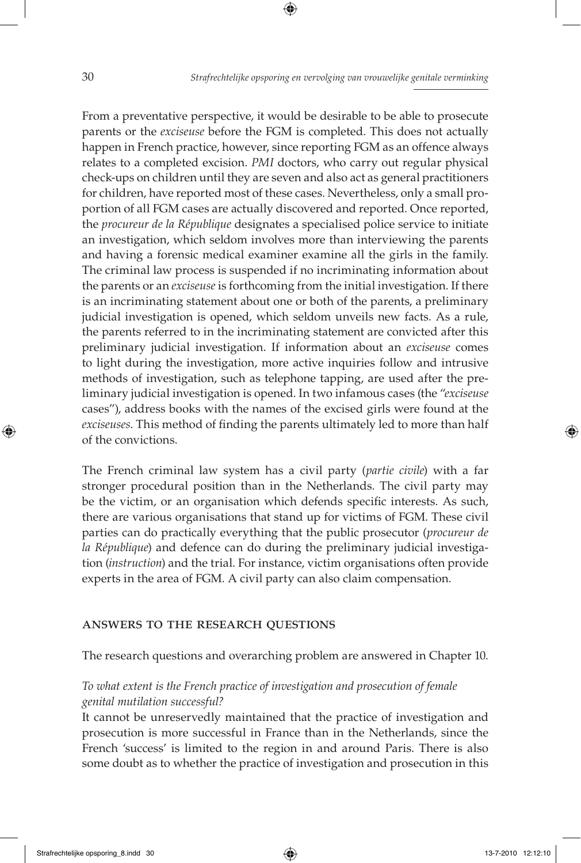From a preventative perspective, it would be desirable to be able to prosecute parents or the *exciseuse* before the FGM is completed. This does not actually happen in French practice, however, since reporting FGM as an offence always relates to a completed excision. *pmi* doctors, who carry out regular physical check-ups on children until they are seven and also act as general practitioners for children, have reported most of these cases. Nevertheless, only a small proportion of all FGM cases are actually discovered and reported. Once reported, the *procureur de la République* designates a specialised police service to initiate an investigation, which seldom involves more than interviewing the parents and having a forensic medical examiner examine all the girls in the family. The criminal law process is suspended if no incriminating information about the parents or an *exciseuse* is forthcoming from the initial investigation. If there is an incriminating statement about one or both of the parents, a preliminary judicial investigation is opened, which seldom unveils new facts. As a rule, the parents referred to in the incriminating statement are convicted after this preliminary judicial investigation. If information about an *exciseuse* comes to light during the investigation, more active inquiries follow and intrusive methods of investigation, such as telephone tapping, are used after the preliminary judicial investigation is opened. In two infamous cases (the "*exciseuse* cases"), address books with the names of the excised girls were found at the *exciseuses*. This method of finding the parents ultimately led to more than half of the convictions.

The French criminal law system has a civil party (*partie civile*) with a far stronger procedural position than in the Netherlands. The civil party may be the victim, or an organisation which defends specific interests. As such, there are various organisations that stand up for victims of FGM. These civil parties can do practically everything that the public prosecutor (*procureur de la République*) and defence can do during the preliminary judicial investigation (*instruction*) and the trial. For instance, victim organisations often provide experts in the area of FGM. A civil party can also claim compensation.

#### Answers to the research questions

The research questions and overarching problem are answered in Chapter 10.

## *To what extent is the French practice of investigation and prosecution of female genital mutilation successful?*

It cannot be unreservedly maintained that the practice of investigation and prosecution is more successful in France than in the Netherlands, since the French 'success' is limited to the region in and around Paris. There is also some doubt as to whether the practice of investigation and prosecution in this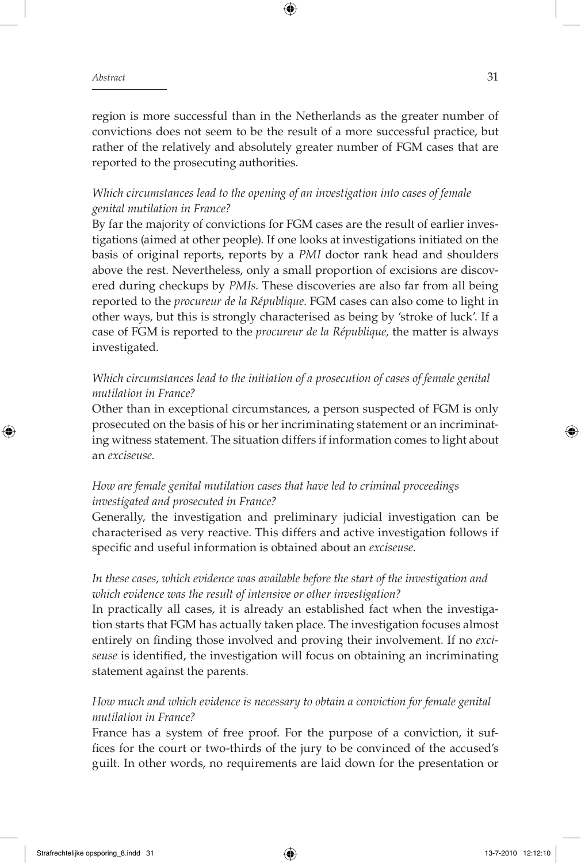region is more successful than in the Netherlands as the greater number of convictions does not seem to be the result of a more successful practice, but rather of the relatively and absolutely greater number of FGM cases that are reported to the prosecuting authorities.

### *Which circumstances lead to the opening of an investigation into cases of female genital mutilation in France?*

By far the majority of convictions for FGM cases are the result of earlier investigations (aimed at other people). If one looks at investigations initiated on the basis of original reports, reports by a *pmi* doctor rank head and shoulders above the rest. Nevertheless, only a small proportion of excisions are discovered during checkups by *pmis*. These discoveries are also far from all being reported to the *procureur de la République*. FGM cases can also come to light in other ways, but this is strongly characterised as being by 'stroke of luck'. If a case of FGM is reported to the *procureur de la République*, the matter is always investigated.

## *Which circumstances lead to the initiation of a prosecution of cases of female genital mutilation in France?*

Other than in exceptional circumstances, a person suspected of FGM is only prosecuted on the basis of his or her incriminating statement or an incriminating witness statement. The situation differs if information comes to light about an *exciseuse*.

# *How are female genital mutilation cases that have led to criminal proceedings investigated and prosecuted in France?*

Generally, the investigation and preliminary judicial investigation can be characterised as very reactive. This differs and active investigation follows if specific and useful information is obtained about an *exciseuse*.

# *In these cases, which evidence was available before the start of the investigation and which evidence was the result of intensive or other investigation?*

In practically all cases, it is already an established fact when the investigation starts that FGM has actually taken place. The investigation focuses almost entirely on finding those involved and proving their involvement. If no *exciseuse* is identified, the investigation will focus on obtaining an incriminating statement against the parents.

# *How much and which evidence is necessary to obtain a conviction for female genital mutilation in France?*

France has a system of free proof. For the purpose of a conviction, it suffices for the court or two-thirds of the jury to be convinced of the accused's guilt. In other words, no requirements are laid down for the presentation or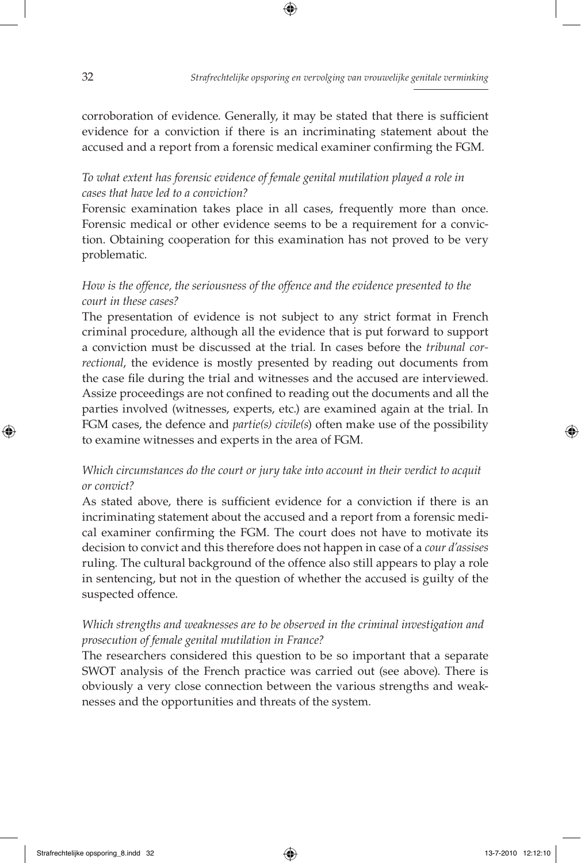corroboration of evidence. Generally, it may be stated that there is sufficient evidence for a conviction if there is an incriminating statement about the accused and a report from a forensic medical examiner confirming the FGM.

# *To what extent has forensic evidence of female genital mutilation played a role in cases that have led to a conviction?*

Forensic examination takes place in all cases, frequently more than once. Forensic medical or other evidence seems to be a requirement for a conviction. Obtaining cooperation for this examination has not proved to be very problematic.

## *How is the offence, the seriousness of the offence and the evidence presented to the court in these cases?*

The presentation of evidence is not subject to any strict format in French criminal procedure, although all the evidence that is put forward to support a conviction must be discussed at the trial. In cases before the *tribunal correctional*, the evidence is mostly presented by reading out documents from the case file during the trial and witnesses and the accused are interviewed. Assize proceedings are not confined to reading out the documents and all the parties involved (witnesses, experts, etc.) are examined again at the trial. In fgm cases, the defence and *partie(s) civile(s*) often make use of the possibility to examine witnesses and experts in the area of FGM.

### *Which circumstances do the court or jury take into account in their verdict to acquit or convict?*

As stated above, there is sufficient evidence for a conviction if there is an incriminating statement about the accused and a report from a forensic medical examiner confirming the FGM. The court does not have to motivate its decision to convict and this therefore does not happen in case of a *cour d'assises* ruling. The cultural background of the offence also still appears to play a role in sentencing, but not in the question of whether the accused is guilty of the suspected offence.

## *Which strengths and weaknesses are to be observed in the criminal investigation and prosecution of female genital mutilation in France?*

The researchers considered this question to be so important that a separate swot analysis of the French practice was carried out (see above). There is obviously a very close connection between the various strengths and weaknesses and the opportunities and threats of the system.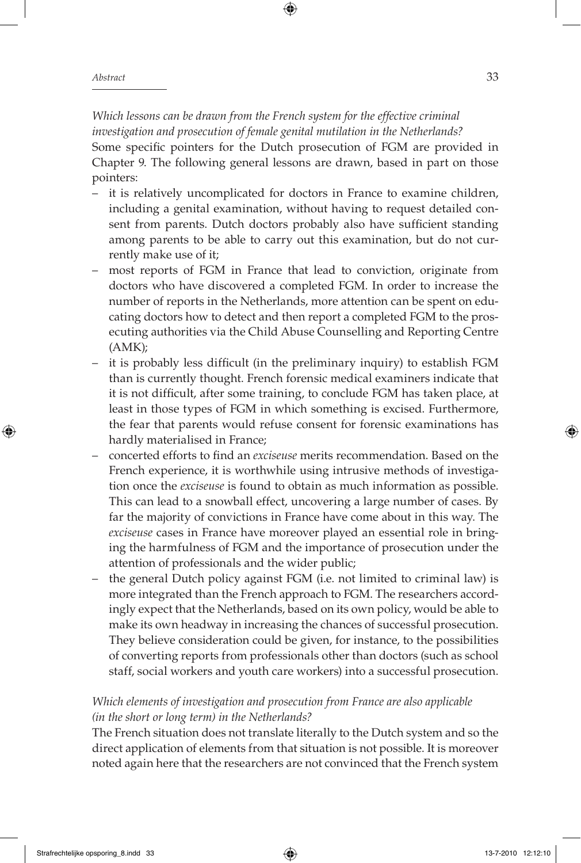*Which lessons can be drawn from the French system for the effective criminal investigation and prosecution of female genital mutilation in the Netherlands?*

Some specific pointers for the Dutch prosecution of FGM are provided in Chapter 9. The following general lessons are drawn, based in part on those pointers:

- it is relatively uncomplicated for doctors in France to examine children, including a genital examination, without having to request detailed consent from parents. Dutch doctors probably also have sufficient standing among parents to be able to carry out this examination, but do not currently make use of it;
- most reports of fgm in France that lead to conviction, originate from doctors who have discovered a completed FGM. In order to increase the number of reports in the Netherlands, more attention can be spent on educating doctors how to detect and then report a completed FGM to the prosecuting authorities via the Child Abuse Counselling and Reporting Centre  $(AMK);$
- it is probably less difficult (in the preliminary inquiry) to establish FGM than is currently thought. French forensic medical examiners indicate that it is not difficult, after some training, to conclude FGM has taken place, at least in those types of FGM in which something is excised. Furthermore, the fear that parents would refuse consent for forensic examinations has hardly materialised in France;
- concerted efforts to find an *exciseuse* merits recommendation. Based on the French experience, it is worthwhile using intrusive methods of investigation once the *exciseuse* is found to obtain as much information as possible. This can lead to a snowball effect, uncovering a large number of cases. By far the majority of convictions in France have come about in this way. The *exciseuse* cases in France have moreover played an essential role in bringing the harmfulness of FGM and the importance of prosecution under the attention of professionals and the wider public;
- the general Dutch policy against FGM (i.e. not limited to criminal law) is more integrated than the French approach to FGM. The researchers accordingly expect that the Netherlands, based on its own policy, would be able to make its own headway in increasing the chances of successful prosecution. They believe consideration could be given, for instance, to the possibilities of converting reports from professionals other than doctors (such as school staff, social workers and youth care workers) into a successful prosecution.

### *Which elements of investigation and prosecution from France are also applicable (in the short or long term) in the Netherlands?*

The French situation does not translate literally to the Dutch system and so the direct application of elements from that situation is not possible. It is moreover noted again here that the researchers are not convinced that the French system